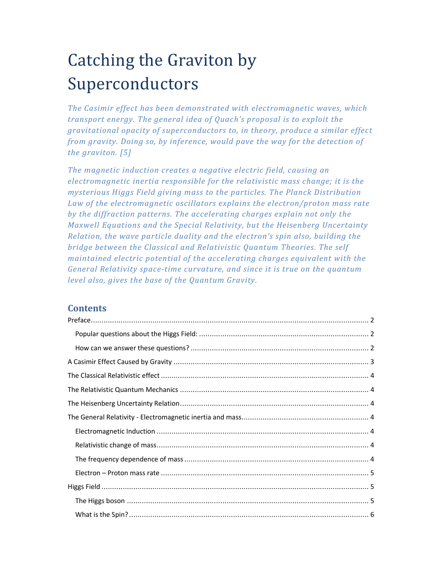# Catching the Graviton by Superconductors

*The Casimir effect has been demonstrated with electromagnetic waves, which transport energy. The general idea of Quach's proposal is to exploit the gravitational opacity of superconductors to, in theory, produce a similar effect from gravity. Doing so, by inference, would pave the way for the detection of the graviton. [5]* 

*The magnetic induction creates a negative electric field, causing an electromagnetic inertia responsible for the relativistic mass change; it is the mysterious Higgs Field giving mass to the particles. The Planck Distribution Law of the electromagnetic oscillators explains the electron/proton mass rate by the diffraction patterns. The accelerating charges explain not only the Maxwell Equations and the Special Relativity, but the Heisenberg Uncertainty Relation, the wave particle duality and the electron's spin also, building the bridge between the Classical and Relativistic Quantum Theories. The self maintained electric potential of the accelerating charges equivalent with the General Relativity space-time curvature, and since it is true on the quantum level also, gives the base of the Quantum Gravity.* 

# **Contents**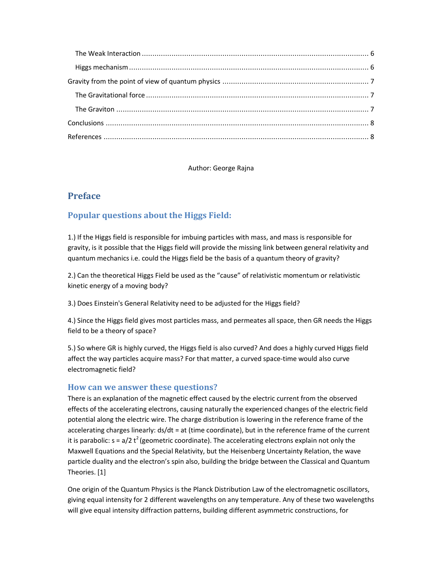Author: George Rajna

# **Preface**

# **Popular questions about the Higgs Field:**

1.) If the Higgs field is responsible for imbuing particles with mass, and mass is responsible for gravity, is it possible that the Higgs field will provide the missing link between general relativity and quantum mechanics i.e. could the Higgs field be the basis of a quantum theory of gravity?

2.) Can the theoretical Higgs Field be used as the "cause" of relativistic momentum or relativistic kinetic energy of a moving body?

3.) Does Einstein's General Relativity need to be adjusted for the Higgs field?

4.) Since the Higgs field gives most particles mass, and permeates all space, then GR needs the Higgs field to be a theory of space?

5.) So where GR is highly curved, the Higgs field is also curved? And does a highly curved Higgs field affect the way particles acquire mass? For that matter, a curved space-time would also curve electromagnetic field?

## **How can we answer these questions?**

There is an explanation of the magnetic effect caused by the electric current from the observed effects of the accelerating electrons, causing naturally the experienced changes of the electric field potential along the electric wire. The charge distribution is lowering in the reference frame of the accelerating charges linearly: ds/dt = at (time coordinate), but in the reference frame of the current it is parabolic:  $s = a/2 t^2$  (geometric coordinate). The accelerating electrons explain not only the Maxwell Equations and the Special Relativity, but the Heisenberg Uncertainty Relation, the wave particle duality and the electron's spin also, building the bridge between the Classical and Quantum Theories. [1]

One origin of the Quantum Physics is the Planck Distribution Law of the electromagnetic oscillators, giving equal intensity for 2 different wavelengths on any temperature. Any of these two wavelengths will give equal intensity diffraction patterns, building different asymmetric constructions, for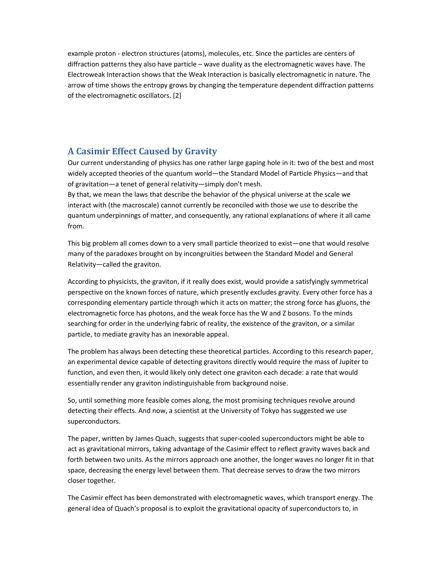example proton - electron structures (atoms), molecules, etc. Since the particles are centers of diffraction patterns they also have particle – wave duality as the electromagnetic waves have. The Electroweak Interaction shows that the Weak Interaction is basically electromagnetic in nature. The arrow of time shows the entropy grows by changing the temperature dependent diffraction patterns of the electromagnetic oscillators. [2]

## **A Casimir Effect Caused by Gravity**

Our current understanding of physics has one rather large gaping hole in it: two of the best and most widely accepted theories of the quantum world—the Standard Model of Particle Physics—and that of gravitation—a tenet of general relativity—simply don't mesh.

By that, we mean the laws that describe the behavior of the physical universe at the scale we interact with (the macroscale) cannot currently be reconciled with those we use to describe the quantum underpinnings of matter, and consequently, any rational explanations of where it all came from.

This big problem all comes down to a very small particle theorized to exist—one that would resolve many of the paradoxes brought on by incongruities between the Standard Model and General Relativity—called the graviton.

According to physicists, the graviton, if it really does exist, would provide a satisfyingly symmetrical perspective on the known forces of nature, which presently excludes gravity. Every other force has a corresponding elementary particle through which it acts on matter; the strong force has gluons, the electromagnetic force has photons, and the weak force has the W and Z bosons. To the minds searching for order in the underlying fabric of reality, the existence of the graviton, or a similar particle, to mediate gravity has an inexorable appeal.

The problem has always been detecting these theoretical particles. According to this research paper, an experimental device capable of detecting gravitons directly would require the mass of Jupiter to function, and even then, it would likely only detect one graviton each decade: a rate that would essentially render any graviton indistinguishable from background noise.

So, until something more feasible comes along, the most promising techniques revolve around detecting their effects. And now, a scientist at the University of Tokyo has suggested we use superconductors.

The paper, written by James Quach, suggests that super-cooled superconductors might be able to act as gravitational mirrors, taking advantage of the Casimir effect to reflect gravity waves back and forth between two units. As the mirrors approach one another, the longer waves no longer fit in that space, decreasing the energy level between them. That decrease serves to draw the two mirrors closer together.

The Casimir effect has been demonstrated with electromagnetic waves, which transport energy. The general idea of Quach's proposal is to exploit the gravitational opacity of superconductors to, in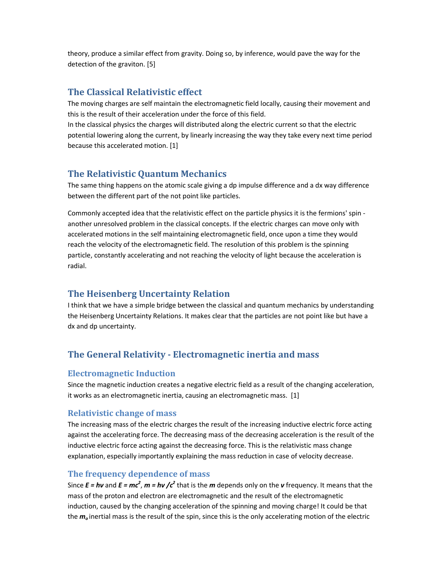theory, produce a similar effect from gravity. Doing so, by inference, would pave the way for the detection of the graviton. [5]

## **The Classical Relativistic effect**

The moving charges are self maintain the electromagnetic field locally, causing their movement and this is the result of their acceleration under the force of this field.

In the classical physics the charges will distributed along the electric current so that the electric potential lowering along the current, by linearly increasing the way they take every next time period because this accelerated motion. [1]

## **The Relativistic Quantum Mechanics**

The same thing happens on the atomic scale giving a dp impulse difference and a dx way difference between the different part of the not point like particles.

Commonly accepted idea that the relativistic effect on the particle physics it is the fermions' spin another unresolved problem in the classical concepts. If the electric charges can move only with accelerated motions in the self maintaining electromagnetic field, once upon a time they would reach the velocity of the electromagnetic field. The resolution of this problem is the spinning particle, constantly accelerating and not reaching the velocity of light because the acceleration is radial.

## **The Heisenberg Uncertainty Relation**

I think that we have a simple bridge between the classical and quantum mechanics by understanding the Heisenberg Uncertainty Relations. It makes clear that the particles are not point like but have a dx and dp uncertainty.

# **The General Relativity - Electromagnetic inertia and mass**

#### **Electromagnetic Induction**

Since the magnetic induction creates a negative electric field as a result of the changing acceleration, it works as an electromagnetic inertia, causing an electromagnetic mass. [1]

#### **Relativistic change of mass**

The increasing mass of the electric charges the result of the increasing inductive electric force acting against the accelerating force. The decreasing mass of the decreasing acceleration is the result of the inductive electric force acting against the decreasing force. This is the relativistic mass change explanation, especially importantly explaining the mass reduction in case of velocity decrease.

#### **The frequency dependence of mass**

Since  $E = h\nu$  and  $E = mc^2$ ,  $m = h\nu$  / $c^2$  that is the *m* depends only on the *v* frequency. It means that the mass of the proton and electron are electromagnetic and the result of the electromagnetic induction, caused by the changing acceleration of the spinning and moving charge! It could be that the *m<sup>o</sup>* inertial mass is the result of the spin, since this is the only accelerating motion of the electric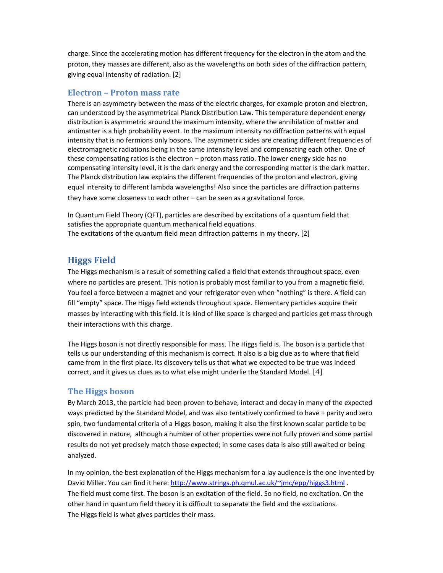charge. Since the accelerating motion has different frequency for the electron in the atom and the proton, they masses are different, also as the wavelengths on both sides of the diffraction pattern, giving equal intensity of radiation. [2]

#### **Electron – Proton mass rate**

There is an asymmetry between the mass of the electric charges, for example proton and electron, can understood by the asymmetrical Planck Distribution Law. This temperature dependent energy distribution is asymmetric around the maximum intensity, where the annihilation of matter and antimatter is a high probability event. In the maximum intensity no diffraction patterns with equal intensity that is no fermions only bosons. The asymmetric sides are creating different frequencies of electromagnetic radiations being in the same intensity level and compensating each other. One of these compensating ratios is the electron – proton mass ratio. The lower energy side has no compensating intensity level, it is the dark energy and the corresponding matter is the dark matter. The Planck distribution law explains the different frequencies of the proton and electron, giving equal intensity to different lambda wavelengths! Also since the particles are diffraction patterns they have some closeness to each other – can be seen as a gravitational force.

In Quantum Field Theory (QFT), particles are described by excitations of a quantum field that satisfies the appropriate quantum mechanical field equations. The excitations of the quantum field mean diffraction patterns in my theory. [2]

# **Higgs Field**

The Higgs mechanism is a result of something called a field that extends throughout space, even where no particles are present. This notion is probably most familiar to you from a magnetic field. You feel a force between a magnet and your refrigerator even when "nothing" is there. A field can fill "empty" space. The Higgs field extends throughout space. Elementary particles acquire their masses by interacting with this field. It is kind of like space is charged and particles get mass through their interactions with this charge.

The Higgs boson is not directly responsible for mass. The Higgs field is. The boson is a particle that tells us our understanding of this mechanism is correct. It also is a big clue as to where that field came from in the first place. Its discovery tells us that what we expected to be true was indeed correct, and it gives us clues as to what else might underlie the Standard Model. [4]

#### **The Higgs boson**

By March 2013, the particle had been proven to behave, interact and decay in many of the expected ways predicted by the Standard Model, and was also tentatively confirmed to have + parity and zero spin, two fundamental criteria of a Higgs boson, making it also the first known scalar particle to be discovered in nature, although a number of other properties were not fully proven and some partial results do not yet precisely match those expected; in some cases data is also still awaited or being analyzed.

In my opinion, the best explanation of the Higgs mechanism for a lay audience is the one invented by David Miller. You can find it here: http://www.strings.ph.qmul.ac.uk/~jmc/epp/higgs3.html The field must come first. The boson is an excitation of the field. So no field, no excitation. On the other hand in quantum field theory it is difficult to separate the field and the excitations. The Higgs field is what gives particles their mass.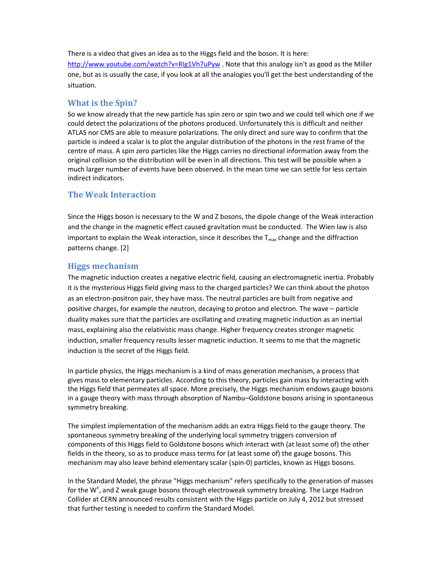There is a video that gives an idea as to the Higgs field and the boson. It is here: http://www.youtube.com/watch?v=RIg1Vh7uPyw . Note that this analogy isn't as good as the Miller one, but as is usually the case, if you look at all the analogies you'll get the best understanding of the situation.

#### **What is the Spin?**

So we know already that the new particle has spin zero or spin two and we could tell which one if we could detect the polarizations of the photons produced. Unfortunately this is difficult and neither ATLAS nor CMS are able to measure polarizations. The only direct and sure way to confirm that the particle is indeed a scalar is to plot the angular distribution of the photons in the rest frame of the centre of mass. A spin zero particles like the Higgs carries no directional information away from the original collision so the distribution will be even in all directions. This test will be possible when a much larger number of events have been observed. In the mean time we can settle for less certain indirect indicators.

#### **The Weak Interaction**

Since the Higgs boson is necessary to the W and Z bosons, the dipole change of the Weak interaction and the change in the magnetic effect caused gravitation must be conducted. The Wien law is also important to explain the Weak interaction, since it describes the  $T_{\text{max}}$  change and the diffraction patterns change. [2]

#### **Higgs mechanism**

The magnetic induction creates a negative electric field, causing an electromagnetic inertia. Probably it is the mysterious Higgs field giving mass to the charged particles? We can think about the photon as an electron-positron pair, they have mass. The neutral particles are built from negative and positive charges, for example the neutron, decaying to proton and electron. The wave – particle duality makes sure that the particles are oscillating and creating magnetic induction as an inertial mass, explaining also the relativistic mass change. Higher frequency creates stronger magnetic induction, smaller frequency results lesser magnetic induction. It seems to me that the magnetic induction is the secret of the Higgs field.

In particle physics, the Higgs mechanism is a kind of mass generation mechanism, a process that gives mass to elementary particles. According to this theory, particles gain mass by interacting with the Higgs field that permeates all space. More precisely, the Higgs mechanism endows gauge bosons in a gauge theory with mass through absorption of Nambu–Goldstone bosons arising in spontaneous symmetry breaking.

The simplest implementation of the mechanism adds an extra Higgs field to the gauge theory. The spontaneous symmetry breaking of the underlying local symmetry triggers conversion of components of this Higgs field to Goldstone bosons which interact with (at least some of) the other fields in the theory, so as to produce mass terms for (at least some of) the gauge bosons. This mechanism may also leave behind elementary scalar (spin-0) particles, known as Higgs bosons.

In the Standard Model, the phrase "Higgs mechanism" refers specifically to the generation of masses for the W<sup>+</sup>, and Z weak gauge bosons through electroweak symmetry breaking. The Large Hadron Collider at CERN announced results consistent with the Higgs particle on July 4, 2012 but stressed that further testing is needed to confirm the Standard Model.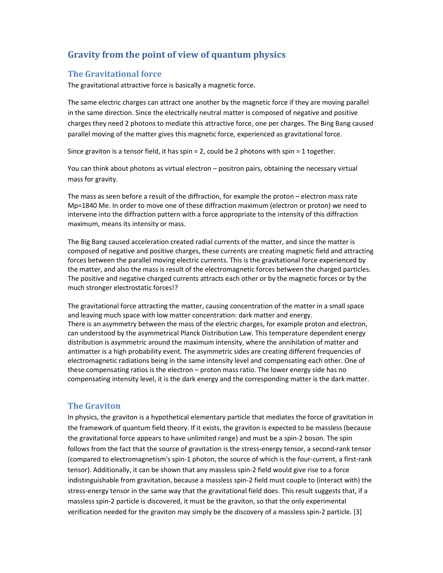# **Gravity from the point of view of quantum physics**

#### **The Gravitational force**

The gravitational attractive force is basically a magnetic force.

The same electric charges can attract one another by the magnetic force if they are moving parallel in the same direction. Since the electrically neutral matter is composed of negative and positive charges they need 2 photons to mediate this attractive force, one per charges. The Bing Bang caused parallel moving of the matter gives this magnetic force, experienced as gravitational force.

Since graviton is a tensor field, it has spin = 2, could be 2 photons with spin = 1 together.

You can think about photons as virtual electron – positron pairs, obtaining the necessary virtual mass for gravity.

The mass as seen before a result of the diffraction, for example the proton – electron mass rate Mp=1840 Me. In order to move one of these diffraction maximum (electron or proton) we need to intervene into the diffraction pattern with a force appropriate to the intensity of this diffraction maximum, means its intensity or mass.

The Big Bang caused acceleration created radial currents of the matter, and since the matter is composed of negative and positive charges, these currents are creating magnetic field and attracting forces between the parallel moving electric currents. This is the gravitational force experienced by the matter, and also the mass is result of the electromagnetic forces between the charged particles. The positive and negative charged currents attracts each other or by the magnetic forces or by the much stronger electrostatic forces!?

The gravitational force attracting the matter, causing concentration of the matter in a small space and leaving much space with low matter concentration: dark matter and energy. There is an asymmetry between the mass of the electric charges, for example proton and electron, can understood by the asymmetrical Planck Distribution Law. This temperature dependent energy distribution is asymmetric around the maximum intensity, where the annihilation of matter and antimatter is a high probability event. The asymmetric sides are creating different frequencies of electromagnetic radiations being in the same intensity level and compensating each other. One of these compensating ratios is the electron – proton mass ratio. The lower energy side has no compensating intensity level, it is the dark energy and the corresponding matter is the dark matter.

#### **The Graviton**

In physics, the graviton is a hypothetical elementary particle that mediates the force of gravitation in the framework of quantum field theory. If it exists, the graviton is expected to be massless (because the gravitational force appears to have unlimited range) and must be a spin-2 boson. The spin follows from the fact that the source of gravitation is the stress-energy tensor, a second-rank tensor (compared to electromagnetism's spin-1 photon, the source of which is the four-current, a first-rank tensor). Additionally, it can be shown that any massless spin-2 field would give rise to a force indistinguishable from gravitation, because a massless spin-2 field must couple to (interact with) the stress-energy tensor in the same way that the gravitational field does. This result suggests that, if a massless spin-2 particle is discovered, it must be the graviton, so that the only experimental verification needed for the graviton may simply be the discovery of a massless spin-2 particle. [3]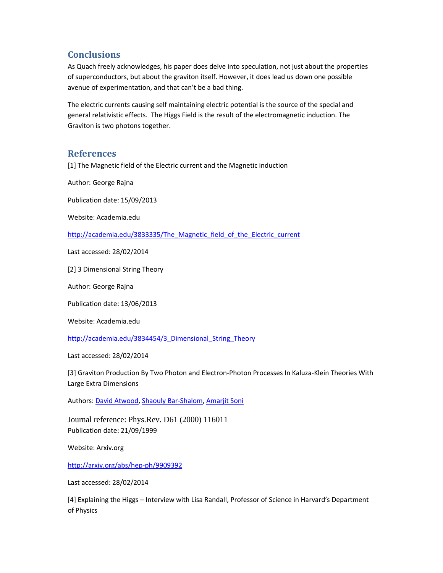# **Conclusions**

As Quach freely acknowledges, his paper does delve into speculation, not just about the properties of superconductors, but about the graviton itself. However, it does lead us down one possible avenue of experimentation, and that can't be a bad thing.

The electric currents causing self maintaining electric potential is the source of the special and general relativistic effects. The Higgs Field is the result of the electromagnetic induction. The Graviton is two photons together.

#### **References**

[1] The Magnetic field of the Electric current and the Magnetic induction

Author: George Rajna

Publication date: 15/09/2013

Website: Academia.edu

http://academia.edu/3833335/The\_Magnetic\_field\_of\_the\_Electric\_current

Last accessed: 28/02/2014

[2] 3 Dimensional String Theory

Author: George Rajna

Publication date: 13/06/2013

Website: Academia.edu

http://academia.edu/3834454/3\_Dimensional\_String\_Theory

Last accessed: 28/02/2014

[3] Graviton Production By Two Photon and Electron-Photon Processes In Kaluza-Klein Theories With Large Extra Dimensions

Authors: David Atwood, Shaouly Bar-Shalom, Amarjit Soni

Journal reference: Phys.Rev. D61 (2000) 116011 Publication date: 21/09/1999

Website: Arxiv.org

http://arxiv.org/abs/hep-ph/9909392

Last accessed: 28/02/2014

[4] Explaining the Higgs – Interview with Lisa Randall, Professor of Science in Harvard's Department of Physics